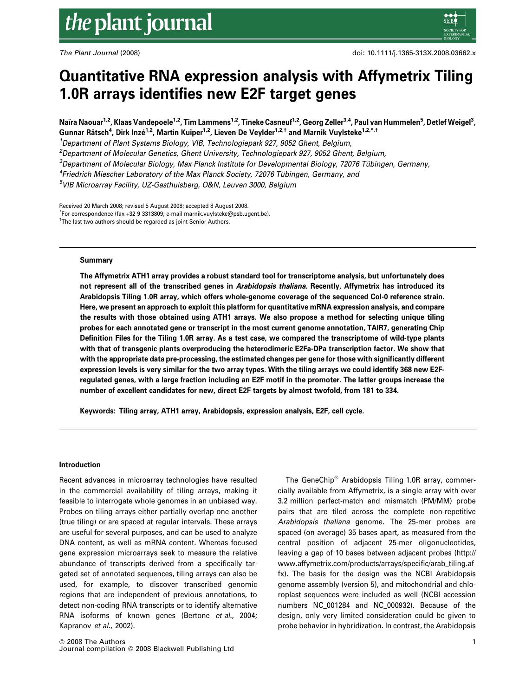# Quantitative RNA expression analysis with Affymetrix Tiling 1.0R arrays identifies new E2F target genes

Naïra Naouar<sup>1,2</sup>, Klaas Vandepoele<sup>1,2</sup>, Tim Lammens<sup>1,2</sup>, Tineke Casneuf<sup>1,2</sup>, Georg Zeller<sup>3,4</sup>, Paul van Hummelen<sup>5</sup>, Detlef Weigel<sup>3</sup>, Gunnar Rätsch<sup>4</sup>, Dirk Inzé<sup>1,2</sup>, Martin Kuiper<sup>1,2</sup>, Lieven De Veylder<sup>1,2,†</sup> and Marnik Vuylsteke<sup>1,2,\*,†</sup>

<sup>1</sup>Department of Plant Systems Biology, VIB, Technologiepark 927, 9052 Ghent, Belgium, <sup>2</sup>Department of Molecular Genetics, Ghent University, Technologiepark 927, 9052 Ghent, Belgium,  $^3$ Department of Molecular Biology, Max Planck Institute for Developmental Biology, 72076 Tübingen, Germany, <sup>4</sup>Friedrich Miescher Laboratory of the Max Planck Society, 72076 Tübingen, Germany, and 5 VIB Microarray Facility, UZ-Gasthuisberg, O&N, Leuven 3000, Belgium

Received 20 March 2008; revised 5 August 2008; accepted 8 August 2008. \* For correspondence (fax +32 9 3313809; e-mail marnik.vuylsteke@psb.ugent.be). <sup>†</sup>The last two authors should be regarded as joint Senior Authors.

#### Summary

The Affymetrix ATH1 array provides a robust standard tool for transcriptome analysis, but unfortunately does not represent all of the transcribed genes in Arabidopsis thaliana. Recently, Affymetrix has introduced its Arabidopsis Tiling 1.0R array, which offers whole-genome coverage of the sequenced Col-0 reference strain. Here, we present an approach to exploit this platform for quantitative mRNA expression analysis, and compare the results with those obtained using ATH1 arrays. We also propose a method for selecting unique tiling probes for each annotated gene or transcript in the most current genome annotation, TAIR7, generating Chip Definition Files for the Tiling 1.0R array. As a test case, we compared the transcriptome of wild-type plants with that of transgenic plants overproducing the heterodimeric E2Fa-DPa transcription factor. We show that with the appropriate data pre-processing, the estimated changes per gene for those with significantly different expression levels is very similar for the two array types. With the tiling arrays we could identify 368 new E2Fregulated genes, with a large fraction including an E2F motif in the promoter. The latter groups increase the number of excellent candidates for new, direct E2F targets by almost twofold, from 181 to 334.

Keywords: Tiling array, ATH1 array, Arabidopsis, expression analysis, E2F, cell cycle.

#### Introduction

Recent advances in microarray technologies have resulted in the commercial availability of tiling arrays, making it feasible to interrogate whole genomes in an unbiased way. Probes on tiling arrays either partially overlap one another (true tiling) or are spaced at regular intervals. These arrays are useful for several purposes, and can be used to analyze DNA content, as well as mRNA content. Whereas focused gene expression microarrays seek to measure the relative abundance of transcripts derived from a specifically targeted set of annotated sequences, tiling arrays can also be used, for example, to discover transcribed genomic regions that are independent of previous annotations, to detect non-coding RNA transcripts or to identify alternative RNA isoforms of known genes (Bertone et al., 2004; Kapranov et al., 2002).

The GeneChip® Arabidopsis Tiling 1.0R array, commercially available from Affymetrix, is a single array with over 3.2 million perfect-match and mismatch (PM/MM) probe pairs that are tiled across the complete non-repetitive Arabidopsis thaliana genome. The 25-mer probes are spaced (on average) 35 bases apart, as measured from the central position of adjacent 25-mer oligonucleotides, leaving a gap of 10 bases between adjacent probes (http:// www.affymetrix.com/products/arrays/specific/arab\_tiling.af fx). The basis for the design was the NCBI Arabidopsis genome assembly (version 5), and mitochondrial and chloroplast sequences were included as well (NCBI accession numbers NC\_001284 and NC\_000932). Because of the design, only very limited consideration could be given to probe behavior in hybridization. In contrast, the Arabidopsis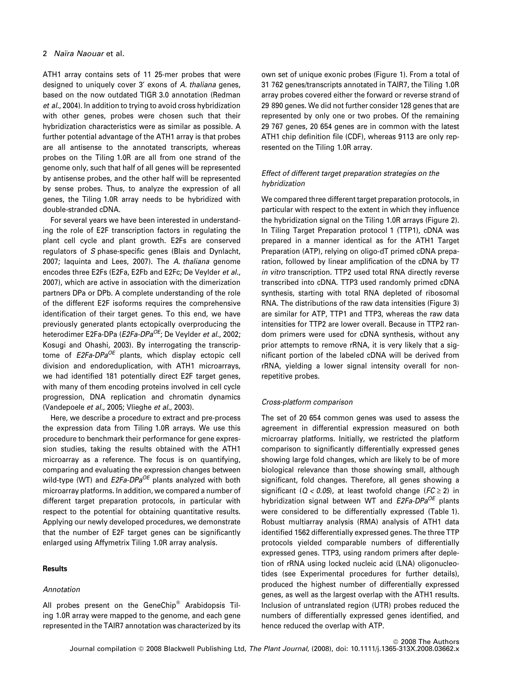## 2 Naïra Naouar et al.

ATH1 array contains sets of 11 25-mer probes that were designed to uniquely cover 3' exons of A. thaliana genes, based on the now outdated TIGR 3.0 annotation (Redman et al., 2004). In addition to trying to avoid cross hybridization with other genes, probes were chosen such that their hybridization characteristics were as similar as possible. A further potential advantage of the ATH1 array is that probes are all antisense to the annotated transcripts, whereas probes on the Tiling 1.0R are all from one strand of the genome only, such that half of all genes will be represented by antisense probes, and the other half will be represented by sense probes. Thus, to analyze the expression of all genes, the Tiling 1.0R array needs to be hybridized with double-stranded cDNA.

For several years we have been interested in understanding the role of E2F transcription factors in regulating the plant cell cycle and plant growth. E2Fs are conserved regulators of S phase-specific genes (Blais and Dynlacht, 2007; Iaquinta and Lees, 2007). The A. thaliana genome encodes three E2Fs (E2Fa, E2Fb and E2Fc; De Veylder et al., 2007), which are active in association with the dimerization partners DPa or DPb. A complete understanding of the role of the different E2F isoforms requires the comprehensive identification of their target genes. To this end, we have previously generated plants ectopically overproducing the heterodimer E2Fa-DPa (E2Fa-DPa<sup>OE</sup>; De Veylder et al., 2002; Kosugi and Ohashi, 2003). By interrogating the transcriptome of  $E2Fa-DPa^{OE}$  plants, which display ectopic cell division and endoreduplication, with ATH1 microarrays, we had identified 181 potentially direct E2F target genes, with many of them encoding proteins involved in cell cycle progression, DNA replication and chromatin dynamics (Vandepoele et al., 2005; Vlieghe et al., 2003).

Here, we describe a procedure to extract and pre-process the expression data from Tiling 1.0R arrays. We use this procedure to benchmark their performance for gene expression studies, taking the results obtained with the ATH1 microarray as a reference. The focus is on quantifying, comparing and evaluating the expression changes between wild-type (WT) and  $E2Fa-DPa^{OE}$  plants analyzed with both microarray platforms. In addition, we compared a number of different target preparation protocols, in particular with respect to the potential for obtaining quantitative results. Applying our newly developed procedures, we demonstrate that the number of E2F target genes can be significantly enlarged using Affymetrix Tiling 1.0R array analysis.

## **Results**

## Annotation

All probes present on the GeneChip® Arabidopsis Tiling 1.0R array were mapped to the genome, and each gene represented in the TAIR7 annotation was characterized by its own set of unique exonic probes (Figure 1). From a total of 31 762 genes/transcripts annotated in TAIR7, the Tiling 1.0R array probes covered either the forward or reverse strand of 29 890 genes. We did not further consider 128 genes that are represented by only one or two probes. Of the remaining 29 767 genes, 20 654 genes are in common with the latest ATH1 chip definition file (CDF), whereas 9113 are only represented on the Tiling 1.0R array.

## Effect of different target preparation strategies on the hybridization

We compared three different target preparation protocols, in particular with respect to the extent in which they influence the hybridization signal on the Tiling 1.0R arrays (Figure 2). In Tiling Target Preparation protocol 1 (TTP1), cDNA was prepared in a manner identical as for the ATH1 Target Preparation (ATP), relying on oligo-dT primed cDNA preparation, followed by linear amplification of the cDNA by T7 in vitro transcription. TTP2 used total RNA directly reverse transcribed into cDNA. TTP3 used randomly primed cDNA synthesis, starting with total RNA depleted of ribosomal RNA. The distributions of the raw data intensities (Figure 3) are similar for ATP, TTP1 and TTP3, whereas the raw data intensities for TTP2 are lower overall. Because in TTP2 random primers were used for cDNA synthesis, without any prior attempts to remove rRNA, it is very likely that a significant portion of the labeled cDNA will be derived from rRNA, yielding a lower signal intensity overall for nonrepetitive probes.

## Cross-platform comparison

The set of 20 654 common genes was used to assess the agreement in differential expression measured on both microarray platforms. Initially, we restricted the platform comparison to significantly differentially expressed genes showing large fold changes, which are likely to be of more biological relevance than those showing small, although significant, fold changes. Therefore, all genes showing a significant ( $Q < 0.05$ ), at least twofold change ( $FC \ge 2$ ) in hybridization signal between WT and  $E2Fa-DPa^{OE}$  plants were considered to be differentially expressed (Table 1). Robust multiarray analysis (RMA) analysis of ATH1 data identified 1562 differentially expressed genes. The three TTP protocols yielded comparable numbers of differentially expressed genes. TTP3, using random primers after depletion of rRNA using locked nucleic acid (LNA) oligonucleotides (see Experimental procedures for further details), produced the highest number of differentially expressed genes, as well as the largest overlap with the ATH1 results. Inclusion of untranslated region (UTR) probes reduced the numbers of differentially expressed genes identified, and hence reduced the overlap with ATP.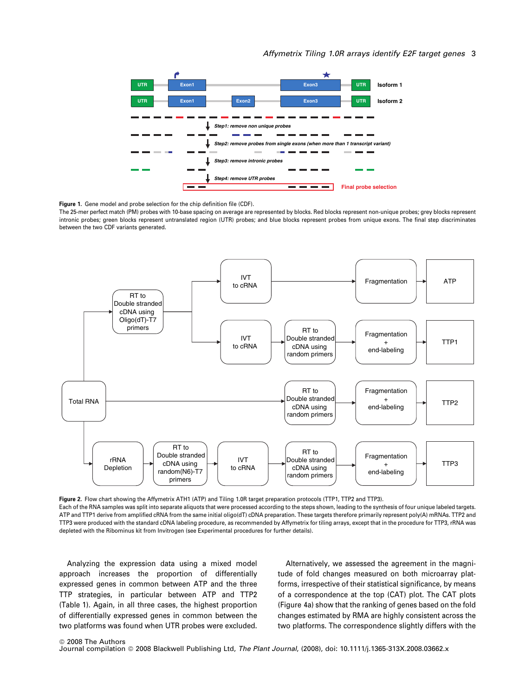## Affymetrix Tiling 1.0R arrays identify E2F target genes 3



Figure 1. Gene model and probe selection for the chip definition file (CDF).

The 25-mer perfect match (PM) probes with 10-base spacing on average are represented by blocks. Red blocks represent non-unique probes; grey blocks represent intronic probes; green blocks represent untranslated region (UTR) probes; and blue blocks represent probes from unique exons. The final step discriminates between the two CDF variants generated.



Figure 2. Flow chart showing the Affymetrix ATH1 (ATP) and Tiling 1.0R target preparation protocols (TTP1, TTP2 and TTP3). Each of the RNA samples was split into separate aliquots that were processed according to the steps shown, leading to the synthesis of four unique labeled targets. ATP and TTP1 derive from amplified cRNA from the same initial oligo(dT) cDNA preparation. These targets therefore primarily represent poly(A) mRNAs. TTP2 and TTP3 were produced with the standard cDNA labeling procedure, as recommended by Affymetrix for tiling arrays, except that in the procedure for TTP3, rRNA was depleted with the Ribominus kit from Invitrogen (see Experimental procedures for further details).

Analyzing the expression data using a mixed model approach increases the proportion of differentially expressed genes in common between ATP and the three TTP strategies, in particular between ATP and TTP2 (Table 1). Again, in all three cases, the highest proportion of differentially expressed genes in common between the two platforms was found when UTR probes were excluded.

Alternatively, we assessed the agreement in the magnitude of fold changes measured on both microarray platforms, irrespective of their statistical significance, by means of a correspondence at the top (CAT) plot. The CAT plots (Figure 4a) show that the ranking of genes based on the fold changes estimated by RMA are highly consistent across the two platforms. The correspondence slightly differs with the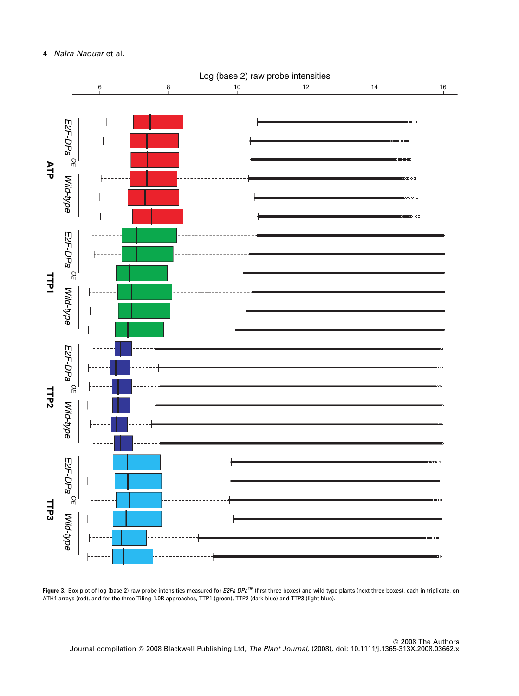



Figure 3. Box plot of log (base 2) raw probe intensities measured for E2Fa-DPa<sup>OE</sup> (first three boxes) and wild-type plants (next three boxes), each in triplicate, on ATH1 arrays (red), and for the three Tiling 1.0R approaches, TTP1 (green), TTP2 (dark blue) and TTP3 (light blue).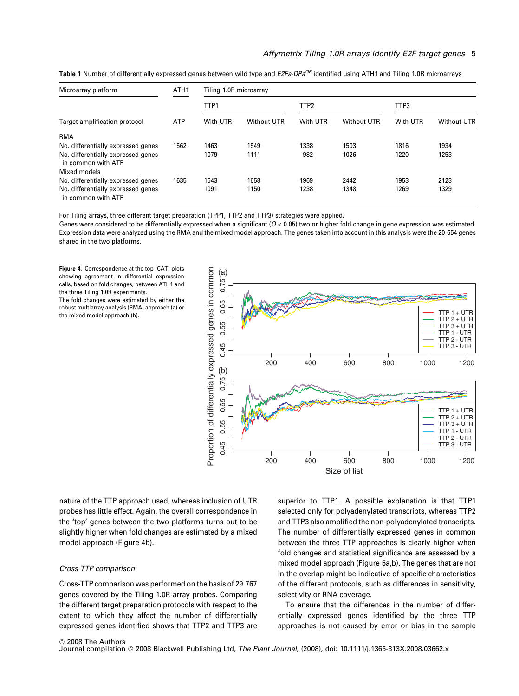| Microarray platform<br>Target amplification protocol     | ATH <sub>1</sub><br><b>ATP</b> | Tiling 1.0R microarray |             |                  |                    |          |                    |  |
|----------------------------------------------------------|--------------------------------|------------------------|-------------|------------------|--------------------|----------|--------------------|--|
|                                                          |                                | TTP1                   |             | TTP <sub>2</sub> |                    | TTP3     |                    |  |
|                                                          |                                | With UTR               | Without UTR | With UTR         | <b>Without UTR</b> | With UTR | <b>Without UTR</b> |  |
| <b>RMA</b>                                               |                                |                        |             |                  |                    |          |                    |  |
| No. differentially expressed genes                       | 1562                           | 1463                   | 1549        | 1338             | 1503               | 1816     | 1934               |  |
| No. differentially expressed genes<br>in common with ATP |                                | 1079                   | 1111        | 982              | 1026               | 1220     | 1253               |  |
| Mixed models                                             |                                |                        |             |                  |                    |          |                    |  |
| No. differentially expressed genes                       | 1635                           | 1543                   | 1658        | 1969             | 2442               | 1953     | 2123               |  |
| No. differentially expressed genes<br>in common with ATP |                                | 1091                   | 1150        | 1238             | 1348               | 1269     | 1329               |  |

Table 1 Number of differentially expressed genes between wild type and E2Fa-DPa<sup>OE</sup> identified using ATH1 and Tiling 1.0R microarrays

For Tiling arrays, three different target preparation (TPP1, TTP2 and TTP3) strategies were applied.

Genes were considered to be differentially expressed when a significant ( $Q < 0.05$ ) two or higher fold change in gene expression was estimated. Expression data were analyzed using the RMA and the mixed model approach. The genes taken into account in this analysis were the 20 654 genes shared in the two platforms.

Figure 4. Correspondence at the top (CAT) plots showing agreement in differential expression calls, based on fold changes, between ATH1 and the three Tiling 1.0R experiments.

The fold changes were estimated by either the robust multiarray analysis (RMA) approach (a) or the mixed model approach (b).



nature of the TTP approach used, whereas inclusion of UTR probes has little effect. Again, the overall correspondence in the 'top' genes between the two platforms turns out to be slightly higher when fold changes are estimated by a mixed model approach (Figure 4b).

## Cross-TTP comparison

Cross-TTP comparison was performed on the basis of 29 767 genes covered by the Tiling 1.0R array probes. Comparing the different target preparation protocols with respect to the extent to which they affect the number of differentially expressed genes identified shows that TTP2 and TTP3 are

superior to TTP1. A possible explanation is that TTP1 selected only for polyadenylated transcripts, whereas TTP2 and TTP3 also amplified the non-polyadenylated transcripts. The number of differentially expressed genes in common between the three TTP approaches is clearly higher when fold changes and statistical significance are assessed by a mixed model approach (Figure 5a,b). The genes that are not in the overlap might be indicative of specific characteristics of the different protocols, such as differences in sensitivity, selectivity or RNA coverage.

To ensure that the differences in the number of differentially expressed genes identified by the three TTP approaches is not caused by error or bias in the sample

Journal compilation @ 2008 Blackwell Publishing Ltd, The Plant Journal, (2008), doi: 10.1111/j.1365-313X.2008.03662.x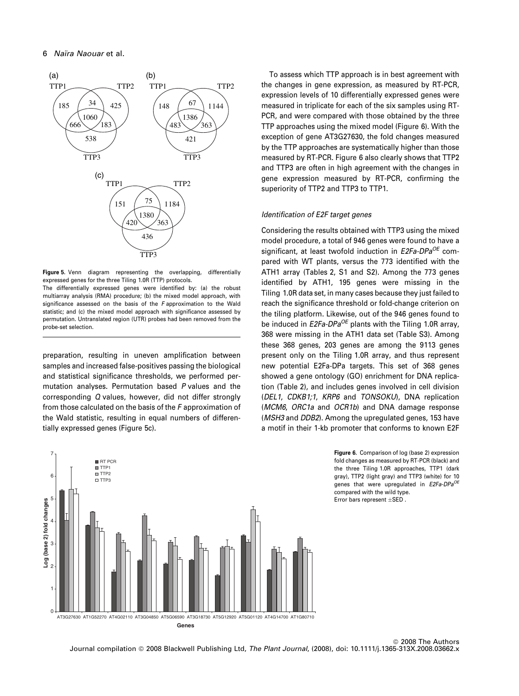

Figure 5. Venn diagram representing the overlapping, differentially expressed genes for the three Tiling 1.0R (TTP) protocols.

The differentially expressed genes were identified by: (a) the robust multiarray analysis (RMA) procedure; (b) the mixed model approach, with significance assessed on the basis of the F approximation to the Wald statistic; and (c) the mixed model approach with significance assessed by permutation. Untranslated region (UTR) probes had been removed from the probe-set selection.

preparation, resulting in uneven amplification between samples and increased false-positives passing the biological and statistical significance thresholds, we performed permutation analyses. Permutation based P values and the corresponding Q values, however, did not differ strongly from those calculated on the basis of the F approximation of the Wald statistic, resulting in equal numbers of differentially expressed genes (Figure 5c).

To assess which TTP approach is in best agreement with the changes in gene expression, as measured by RT-PCR, expression levels of 10 differentially expressed genes were measured in triplicate for each of the six samples using RT-PCR, and were compared with those obtained by the three TTP approaches using the mixed model (Figure 6). With the exception of gene AT3G27630, the fold changes measured by the TTP approaches are systematically higher than those measured by RT-PCR. Figure 6 also clearly shows that TTP2 and TTP3 are often in high agreement with the changes in gene expression measured by RT-PCR, confirming the superiority of TTP2 and TTP3 to TTP1.

## Identification of E2F target genes

Considering the results obtained with TTP3 using the mixed model procedure, a total of 946 genes were found to have a significant, at least twofold induction in  $E2Fa-DPa^{OE}$  compared with WT plants, versus the 773 identified with the ATH1 array (Tables 2, S1 and S2). Among the 773 genes identified by ATH1, 195 genes were missing in the Tiling 1.0R data set, in many cases because they just failed to reach the significance threshold or fold-change criterion on the tiling platform. Likewise, out of the 946 genes found to be induced in  $E2Fa-DPa^{OE}$  plants with the Tiling 1.0R array, 368 were missing in the ATH1 data set (Table S3). Among these 368 genes, 203 genes are among the 9113 genes present only on the Tiling 1.0R array, and thus represent new potential E2Fa-DPa targets. This set of 368 genes showed a gene ontology (GO) enrichment for DNA replication (Table 2), and includes genes involved in cell division (DEL1, CDKB1;1, KRP6 and TONSOKU), DNA replication (MCM6, ORC1a and OCR1b) and DNA damage response (MSH3 and DDB2). Among the upregulated genes, 153 have a motif in their 1-kb promoter that conforms to known E2F

7 **RT PCF D** TTP1 **D** TTP2 6 TTP3 5 .og (base 2) fold changes **Log (base 2) fold changes** 4 3 2 1  $\Omega$ AT3G27630 AT1G52270 AT4G02110 AT3G04850 AT5G06590 AT3G18730 AT5G12920 AT5G01120 AT4G14700 AT1G80710 **Genes** 

Figure 6. Comparison of log (base 2) expression fold changes as measured by RT-PCR (black) and the three Tiling 1.0R approaches, TTP1 (dark gray), TTP2 (light gray) and TTP3 (white) for 10 genes that were upregulated in  $E2Fa-DPa^{OE}$ compared with the wild type. Error bars represent  $\pm$ SED.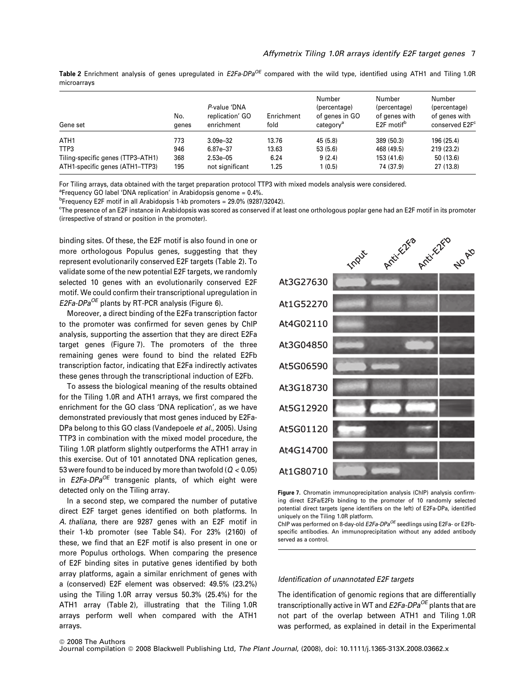Table 2 Enrichment analysis of genes upregulated in  $E2Fa-DPa^{OE}$  compared with the wild type, identified using ATH1 and Tiling 1.0R microarrays

| Gene set                          | No.<br>genes | P-value 'DNA<br>replication' GO<br>enrichment | Enrichment<br>fold | Number<br>(percentage)<br>of genes in GO<br>category <sup>a</sup> | Number<br>(percentage)<br>of genes with<br>E <sub>2F</sub> motif <sup>b</sup> | Number<br>(percentage)<br>of genes with<br>conserved E2F <sup>c</sup> |
|-----------------------------------|--------------|-----------------------------------------------|--------------------|-------------------------------------------------------------------|-------------------------------------------------------------------------------|-----------------------------------------------------------------------|
| ATH <sub>1</sub>                  | 773          | $3.09e - 32$                                  | 13.76              | 45 (5.8)                                                          | 389 (50.3)                                                                    | 196 (25.4)                                                            |
| TTP3                              | 946          | 6.87e-37                                      | 13.63              | 53 (5.6)                                                          | 468 (49.5)                                                                    | 219 (23.2)                                                            |
| Tiling-specific genes (TTP3-ATH1) | 368          | $2.53e - 05$                                  | 6.24               | 9(2.4)                                                            | 153 (41.6)                                                                    | 50(13.6)                                                              |
| ATH1-specific genes (ATH1-TTP3)   | 195          | not significant                               | 1.25               | 1(0.5)                                                            | 74 (37.9)                                                                     | 27 (13.8)                                                             |

For Tiling arrays, data obtained with the target preparation protocol TTP3 with mixed models analysis were considered.

<sup>a</sup>Frequency GO label 'DNA replication' in Arabidopsis genome = 0.4%.

b Frequency E2F motif in all Arabidopsis 1-kb promoters = 29.0% (9287/32042).

c The presence of an E2F instance in Arabidopsis was scored as conserved if at least one orthologous poplar gene had an E2F motif in its promoter (irrespective of strand or position in the promoter).

binding sites. Of these, the E2F motif is also found in one or more orthologous Populus genes, suggesting that they represent evolutionarily conserved E2F targets (Table 2). To validate some of the new potential E2F targets, we randomly selected 10 genes with an evolutionarily conserved E2F motif. We could confirm their transcriptional upregulation in  $E2Fa-DPa^{OE}$  plants by RT-PCR analysis (Figure 6).

Moreover, a direct binding of the E2Fa transcription factor to the promoter was confirmed for seven genes by ChIP analysis, supporting the assertion that they are direct E2Fa target genes (Figure 7). The promoters of the three remaining genes were found to bind the related E2Fb transcription factor, indicating that E2Fa indirectly activates these genes through the transcriptional induction of E2Fb.

To assess the biological meaning of the results obtained for the Tiling 1.0R and ATH1 arrays, we first compared the enrichment for the GO class 'DNA replication', as we have demonstrated previously that most genes induced by E2Fa-DPa belong to this GO class (Vandepoele et al., 2005). Using TTP3 in combination with the mixed model procedure, the Tiling 1.0R platform slightly outperforms the ATH1 array in this exercise. Out of 101 annotated DNA replication genes, 53 were found to be induced by more than twofold ( $Q < 0.05$ ) in  $E2Fa-DPa^{OE}$  transgenic plants, of which eight were detected only on the Tiling array.

In a second step, we compared the number of putative direct E2F target genes identified on both platforms. In A. thaliana, there are 9287 genes with an E2F motif in their 1-kb promoter (see Table S4). For 23% (2160) of these, we find that an E2F motif is also present in one or more Populus orthologs. When comparing the presence of E2F binding sites in putative genes identified by both array platforms, again a similar enrichment of genes with a (conserved) E2F element was observed: 49.5% (23.2%) using the Tiling 1.0R array versus 50.3% (25.4%) for the ATH1 array (Table 2), illustrating that the Tiling 1.0R arrays perform well when compared with the ATH1 arrays.



Figure 7. Chromatin immunoprecipitation analysis (ChIP) analysis confirming direct E2Fa/E2Fb binding to the promoter of 10 randomly selected potential direct targets (gene identifiers on the left) of E2Fa-DPa, identified uniquely on the Tiling 1.0R platform.

ChIP was performed on 8-day-old  $E2Fa-DPa^{OE}$  seedlings using E2Fa- or E2Fbspecific antibodies. An immunoprecipitation without any added antibody served as a control.

#### Identification of unannotated E2F targets

The identification of genomic regions that are differentially transcriptionally active in WT and  $E2Fa-DPa^{OE}$  plants that are not part of the overlap between ATH1 and Tiling 1.0R was performed, as explained in detail in the Experimental

#### ª 2008 The Authors

Journal compilation @ 2008 Blackwell Publishing Ltd, The Plant Journal, (2008), doi: 10.1111/j.1365-313X.2008.03662.x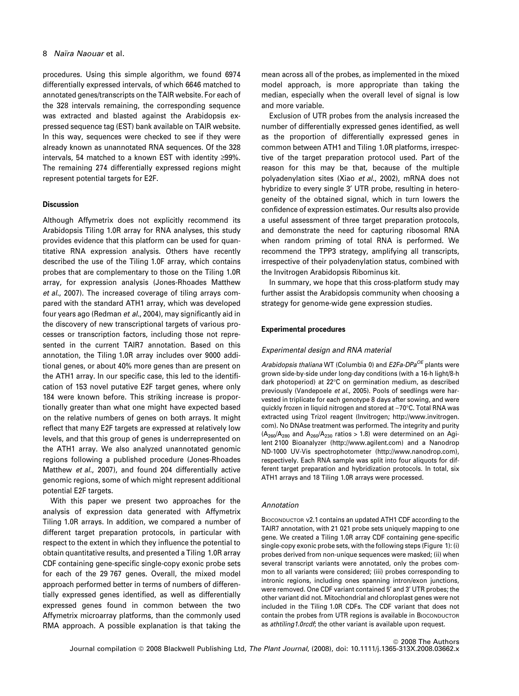## 8 Naïra Naouar et al.

procedures. Using this simple algorithm, we found 6974 differentially expressed intervals, of which 6646 matched to annotated genes/transcripts on the TAIR website. For each of the 328 intervals remaining, the corresponding sequence was extracted and blasted against the Arabidopsis expressed sequence tag (EST) bank available on TAIR website. In this way, sequences were checked to see if they were already known as unannotated RNA sequences. Of the 328 intervals, 54 matched to a known EST with identity  $\geq$ 99%. The remaining 274 differentially expressed regions might represent potential targets for E2F.

## **Discussion**

Although Affymetrix does not explicitly recommend its Arabidopsis Tiling 1.0R array for RNA analyses, this study provides evidence that this platform can be used for quantitative RNA expression analysis. Others have recently described the use of the Tiling 1.0F array, which contains probes that are complementary to those on the Tiling 1.0R array, for expression analysis (Jones-Rhoades Matthew et al., 2007). The increased coverage of tiling arrays compared with the standard ATH1 array, which was developed four years ago (Redman et al., 2004), may significantly aid in the discovery of new transcriptional targets of various processes or transcription factors, including those not represented in the current TAIR7 annotation. Based on this annotation, the Tiling 1.0R array includes over 9000 additional genes, or about 40% more genes than are present on the ATH1 array. In our specific case, this led to the identification of 153 novel putative E2F target genes, where only 184 were known before. This striking increase is proportionally greater than what one might have expected based on the relative numbers of genes on both arrays. It might reflect that many E2F targets are expressed at relatively low levels, and that this group of genes is underrepresented on the ATH1 array. We also analyzed unannotated genomic regions following a published procedure (Jones-Rhoades Matthew et al., 2007), and found 204 differentially active genomic regions, some of which might represent additional potential E2F targets.

With this paper we present two approaches for the analysis of expression data generated with Affymetrix Tiling 1.0R arrays. In addition, we compared a number of different target preparation protocols, in particular with respect to the extent in which they influence the potential to obtain quantitative results, and presented a Tiling 1.0R array CDF containing gene-specific single-copy exonic probe sets for each of the 29 767 genes. Overall, the mixed model approach performed better in terms of numbers of differentially expressed genes identified, as well as differentially expressed genes found in common between the two Affymetrix microarray platforms, than the commonly used RMA approach. A possible explanation is that taking the

mean across all of the probes, as implemented in the mixed model approach, is more appropriate than taking the median, especially when the overall level of signal is low and more variable.

Exclusion of UTR probes from the analysis increased the number of differentially expressed genes identified, as well as the proportion of differentially expressed genes in common between ATH1 and Tiling 1.0R platforms, irrespective of the target preparation protocol used. Part of the reason for this may be that, because of the multiple polyadenylation sites (Xiao et al., 2002), mRNA does not hybridize to every single 3' UTR probe, resulting in heterogeneity of the obtained signal, which in turn lowers the confidence of expression estimates. Our results also provide a useful assessment of three target preparation protocols, and demonstrate the need for capturing ribosomal RNA when random priming of total RNA is performed. We recommend the TPP3 strategy, amplifying all transcripts, irrespective of their polyadenylation status, combined with the Invitrogen Arabidopsis Ribominus kit.

In summary, we hope that this cross-platform study may further assist the Arabidopsis community when choosing a strategy for genome-wide gene expression studies.

## Experimental procedures

#### Experimental design and RNA material

Arabidopsis thaliana WT (Columbia 0) and  $E2Fa-DPa^{OE}$  plants were grown side-by-side under long-day conditions (with a 16-h light/8-h dark photoperiod) at 22°C on germination medium, as described previously (Vandepoele et al., 2005). Pools of seedlings were harvested in triplicate for each genotype 8 days after sowing, and were quickly frozen in liquid nitrogen and stored at -70°C. Total RNA was extracted using Trizol reagent (Invitrogen; http://www.invitrogen. com). No DNAse treatment was performed. The integrity and purity  $(A_{260}/A_{280}$  and  $A_{260}/A_{230}$  ratios > 1.8) were determined on an Agilent 2100 Bioanalyzer (http://www.agilent.com) and a Nanodrop ND-1000 UV-Vis spectrophotometer (http://www.nanodrop.com), respectively. Each RNA sample was split into four aliquots for different target preparation and hybridization protocols. In total, six ATH1 arrays and 18 Tiling 1.0R arrays were processed.

#### Annotation

BIOCONDUCTOR v2.1 contains an updated ATH1 CDF according to the TAIR7 annotation, with 21 021 probe sets uniquely mapping to one gene. We created a Tiling 1.0R array CDF containing gene-specific single-copy exonic probe sets, with the following steps (Figure 1): (i) probes derived from non-unique sequences were masked; (ii) when several transcript variants were annotated, only the probes common to all variants were considered; (iii) probes corresponding to intronic regions, including ones spanning intron/exon junctions, were removed. One CDF variant contained 5' and 3' UTR probes; the other variant did not. Mitochondrial and chloroplast genes were not included in the Tiling 1.0R CDFs. The CDF variant that does not contain the probes from UTR regions is available in BIOCONDUCTOR as athtiling1.0rcdf; the other variant is available upon request.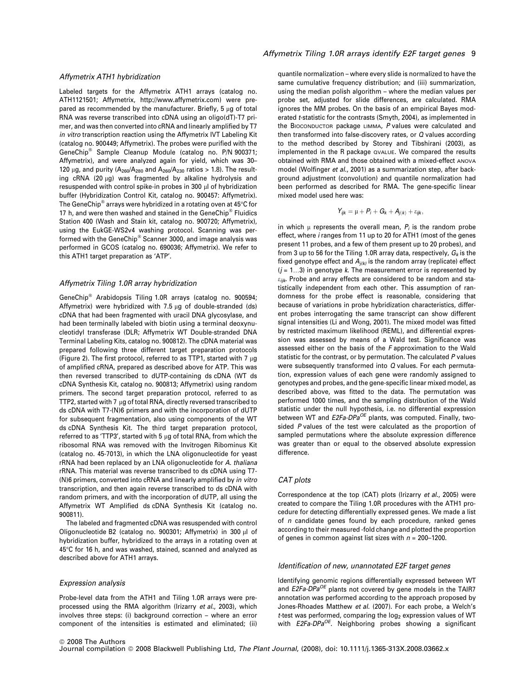## Affymetrix ATH1 hybridization

Labeled targets for the Affymetrix ATH1 arrays (catalog no. ATH1121501; Affymetrix, http://www.affymetrix.com) were prepared as recommended by the manufacturer. Briefly,  $5 \mu g$  of total RNA was reverse transcribed into cDNA using an oligo(dT)-T7 primer, and was then converted into cRNA and linearly amplified by T7 in vitro transcription reaction using the Affymetrix IVT Labeling Kit (catalog no. 900449; Affymetrix). The probes were purified with the GeneChip<sup>®</sup> Sample Cleanup Module (catalog no. P/N 900371; Affymetrix), and were analyzed again for yield, which was 30– 120  $\mu$ g, and purity (A<sub>260</sub>/A<sub>280</sub> and A<sub>260</sub>/A<sub>230</sub> ratios > 1.8). The resulting  $cRNA$  (20  $\mu$ g) was fragmented by alkaline hydrolysis and resuspended with control spike-in probes in 300 µl of hybridization buffer (Hybridization Control Kit, catalog no. 900457: Affymetrix). The GeneChip $^{\circledast}$  arrays were hybridized in a rotating oven at 45°C for 17 h, and were then washed and stained in the GeneChip<sup>®</sup> Fluidics Station 400 (Wash and Stain kit, catalog no. 900720; Affymetrix), using the EukGE-WS2v4 washing protocol. Scanning was performed with the GeneChip $^\circledast$  Scanner 3000, and image analysis was performed in GCOS (catalog no. 690036; Affymetrix). We refer to this ATH1 target preparation as 'ATP'.

#### Affymetrix Tiling 1.0R array hybridization

GeneChip<sup>®</sup> Arabidopsis Tiling 1.0R arrays (catalog no. 900594; Affymetrix) were hybridized with 7.5  $\mu$ g of double-stranded (ds) cDNA that had been fragmented with uracil DNA glycosylase, and had been terminally labeled with biotin using a terminal deoxynucleotidyl transferase (DLR; Affymetrix WT Double-stranded DNA Terminal Labeling Kits, catalog no. 900812). The cDNA material was prepared following three different target preparation protocols (Figure 2). The first protocol, referred to as TTP1, started with 7  $\mu$ g of amplified cRNA, prepared as described above for ATP. This was then reversed transcribed to dUTP-containing ds cDNA (WT ds cDNA Synthesis Kit, catalog no. 900813; Affymetrix) using random primers. The second target preparation protocol, referred to as TTP2, started with 7  $\mu$ g of total RNA, directly reversed transcribed to ds cDNA with T7-(N)6 primers and with the incorporation of dUTP for subsequent fragmentation, also using components of the WT ds cDNA Synthesis Kit. The third target preparation protocol, referred to as 'TTP3', started with 5  $\mu$ g of total RNA, from which the ribosomal RNA was removed with the Invitrogen Ribominus Kit (catalog no. 45-7013), in which the LNA oligonucleotide for yeast rRNA had been replaced by an LNA oligonucleotide for A. thaliana rRNA. This material was reverse transcribed to ds cDNA using T7- (N)6 primers, converted into cRNA and linearly amplified by in vitro transcription, and then again reverse transcribed to ds cDNA with random primers, and with the incorporation of dUTP, all using the Affymetrix WT Amplified ds cDNA Synthesis Kit (catalog no. 900811).

The labeled and fragmented cDNA was resuspended with control Oligonucleotide B2 (catalog no. 900301; Affymetrix) in 300 µl of hybridization buffer, hybridized to the arrays in a rotating oven at 45°C for 16 h, and was washed, stained, scanned and analyzed as described above for ATH1 arrays.

#### Expression analysis

Probe-level data from the ATH1 and Tiling 1.0R arrays were preprocessed using the RMA algorithm (Irizarry et al., 2003), which involves three steps: (i) background correction – where an error component of the intensities is estimated and eliminated; (ii)

quantile normalization – where every slide is normalized to have the same cumulative frequency distribution; and (iii) summarization, using the median polish algorithm – where the median values per probe set, adjusted for slide differences, are calculated. RMA ignores the MM probes. On the basis of an empirical Bayes moderated t-statistic for the contrasts (Smyth, 2004), as implemented in the BIOCONDUCTOR package LIMMA, P values were calculated and then transformed into false-discovery rates, or Q values according to the method described by Storey and Tibshirani (2003), as implemented in the R package QVALUE. We compared the results obtained with RMA and those obtained with a mixed-effect ANOVA model (Wolfinger et al., 2001) as a summarization step, after background adjustment (convolution) and quantile normalization had been performed as described for RMA. The gene-specific linear mixed model used here was:

$$
Y_{ijk} = \mu + P_i + G_k + A_{j(k)} + \varepsilon_{ijk},
$$

in which  $\mu$  represents the overall mean,  $P_i$  is the random probe effect, where i ranges from 11 up to 20 for ATH1 (most of the genes present 11 probes, and a few of them present up to 20 probes), and from 3 up to 56 for the Tiling 1.0R array data, respectively,  $G_k$  is the fixed genotype effect and  $A_{i(k)}$  is the random array (replicate) effect  $(j = 1...3)$  in genotype k. The measurement error is represented by  $\varepsilon_{ijk}$ . Probe and array effects are considered to be random and statistically independent from each other. This assumption of randomness for the probe effect is reasonable, considering that because of variations in probe hybridization characteristics, different probes interrogating the same transcript can show different signal intensities (Li and Wong, 2001). The mixed model was fitted by restricted maximum likelihood (REML), and differential expression was assessed by means of a Wald test. Significance was assessed either on the basis of the F approximation to the Wald statistic for the contrast, or by permutation. The calculated  $P$  values were subsequently transformed into Q values. For each permutation, expression values of each gene were randomly assigned to genotypes and probes, and the gene-specific linear mixed model, as described above, was fitted to the data. The permutation was performed 1000 times, and the sampling distribution of the Wald statistic under the null hypothesis, i.e. no differential expression between WT and  $E2Fa-DPa^{OE}$  plants, was computed. Finally, twosided P values of the test were calculated as the proportion of sampled permutations where the absolute expression difference was greater than or equal to the observed absolute expression difference.

#### CAT plots

Correspondence at the top (CAT) plots (Irizarry et al., 2005) were created to compare the Tiling 1.0R procedures with the ATH1 procedure for detecting differentially expressed genes. We made a list of  $n$  candidate genes found by each procedure, ranked genes according to their measured -fold change and plotted the proportion of genes in common against list sizes with  $n = 200-1200$ .

## Identification of new, unannotated E2F target genes

Identifying genomic regions differentially expressed between WT and  $E2Fa-DPa^{OE}$  plants not covered by gene models in the TAIR7 annotation was performed according to the approach proposed by Jones-Rhoades Matthew et al. (2007). For each probe, a Welch's t-test was performed, comparing the  $log<sub>2</sub>$  expression values of WT with  $E2Fa-DPa^{OE}$ . Neighboring probes showing a significant

Journal compilation @ 2008 Blackwell Publishing Ltd, The Plant Journal, (2008), doi: 10.1111/j.1365-313X.2008.03662.x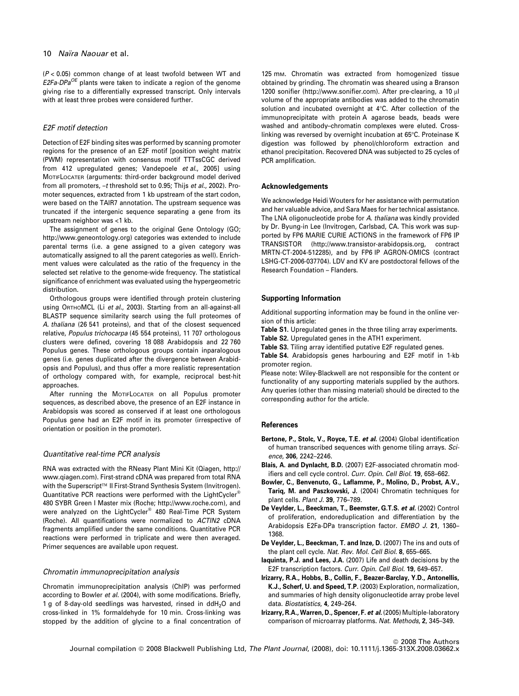$(P < 0.05)$  common change of at least twofold between WT and  $E2Fa-DPa^{OE}$  plants were taken to indicate a region of the genome giving rise to a differentially expressed transcript. Only intervals with at least three probes were considered further.

## E2F motif detection

Detection of E2F binding sites was performed by scanning promoter regions for the presence of an E2F motif [position weight matrix (PWM) representation with consensus motif TTTssCGC derived from 412 upregulated genes; Vandepoele et al., 2005] using MOTIFLOCATER (arguments: third-order background model derived from all promoters,  $-t$  threshold set to 0.95; Thijs et al., 2002). Promoter sequences, extracted from 1 kb upstream of the start codon, were based on the TAIR7 annotation. The upstream sequence was truncated if the intergenic sequence separating a gene from its upstream neighbor was <1 kb.

The assignment of genes to the original Gene Ontology (GO; http://www.geneontology.org) categories was extended to include parental terms (i.e. a gene assigned to a given category was automatically assigned to all the parent categories as well). Enrichment values were calculated as the ratio of the frequency in the selected set relative to the genome-wide frequency. The statistical significance of enrichment was evaluated using the hypergeometric distribution.

Orthologous groups were identified through protein clustering using ORTHOMCL (Li et al., 2003). Starting from an all-against-all BLASTP sequence similarity search using the full proteomes of A. thaliana (26 541 proteins), and that of the closest sequenced relative, Populus trichocarpa (45 554 proteins), 11 707 orthologous clusters were defined, covering 18 088 Arabidopsis and 22 760 Populus genes. These orthologous groups contain inparalogous genes (i.e. genes duplicated after the divergence between Arabidopsis and Populus), and thus offer a more realistic representation of orthology compared with, for example, reciprocal best-hit approaches.

After running the MOTIFLOCATER on all Populus promoter sequences, as described above, the presence of an E2F instance in Arabidopsis was scored as conserved if at least one orthologous Populus gene had an E2F motif in its promoter (irrespective of orientation or position in the promoter).

#### Quantitative real-time PCR analysis

RNA was extracted with the RNeasy Plant Mini Kit (Qiagen, http:// www.qiagen.com). First-strand cDNA was prepared from total RNA with the Superscript<sup>™</sup> II First-Strand Synthesis System (Invitrogen). Quantitative PCR reactions were performed with the LightCycler® 480 SYBR Green I Master mix (Roche; http://www.roche.com), and were analyzed on the LightCycler® 480 Real-Time PCR System (Roche). All quantifications were normalized to ACTIN2 cDNA fragments amplified under the same conditions. Quantitative PCR reactions were performed in triplicate and were then averaged. Primer sequences are available upon request.

#### Chromatin immunoprecipitation analysis

Chromatin immunoprecipitation analysis (ChIP) was performed according to Bowler et al. (2004), with some modifications. Briefly, 1 g of 8-day-old seedlings was harvested, rinsed in  $ddH<sub>2</sub>O$  and cross-linked in 1% formaldehyde for 10 min. Cross-linking was stopped by the addition of glycine to a final concentration of

125 mM. Chromatin was extracted from homogenized tissue obtained by grinding. The chromatin was sheared using a Branson 1200 sonifier (http://www.sonifier.com). After pre-clearing, a 10  $\mu$ l volume of the appropriate antibodies was added to the chromatin solution and incubated overnight at 4°C. After collection of the immunoprecipitate with protein A agarose beads, beads were washed and antibody–chromatin complexes were eluted. Crosslinking was reversed by overnight incubation at 65°C. Proteinase K digestion was followed by phenol/chloroform extraction and ethanol precipitation. Recovered DNA was subjected to 25 cycles of PCR amplification.

#### Acknowledgements

We acknowledge Heidi Wouters for her assistance with permutation and her valuable advice, and Sara Maes for her technical assistance. The LNA oligonucleotide probe for A. thaliana was kindly provided by Dr. Byung-in Lee (Invitrogen, Carlsbad, CA. This work was supported by FP6 MARIE CURIE ACTIONS in the framework of FP6 IP TRANSISTOR (http://www.transistor-arabidopsis.org, contract MRTN-CT-2004-512285), and by FP6 IP AGRON-OMICS (contract LSHG-CT-2006-037704). LDV and KV are postdoctoral fellows of the Research Foundation – Flanders.

#### Supporting Information

Additional supporting information may be found in the online version of this article:

- Table S1. Upregulated genes in the three tiling array experiments.
- Table S2. Upregulated genes in the ATH1 experiment.
- Table S3. Tiling array identified putative E2F regulated genes.

Table S4. Arabidopsis genes harbouring and E2F motif in 1-kb promoter region.

Please note: Wiley-Blackwell are not responsible for the content or functionality of any supporting materials supplied by the authors. Any queries (other than missing material) should be directed to the corresponding author for the article.

## **References**

- Bertone, P., Stolc, V., Royce, T.E. et al. (2004) Global identification of human transcribed sequences with genome tiling arrays. Science, 306, 2242–2246.
- Blais, A. and Dynlacht, B.D. (2007) E2F-associated chromatin modifiers and cell cycle control. Curr. Opin. Cell Biol. 19, 658–662.
- Bowler, C., Benvenuto, G., Laflamme, P., Molino, D., Probst, A.V., Tariq, M. and Paszkowski, J. (2004) Chromatin techniques for plant cells. Plant J. 39, 776–789.
- De Veylder, L., Beeckman, T., Beemster, G.T.S. et al. (2002) Control of proliferation, endoreduplication and differentiation by the Arabidopsis E2Fa-DPa transcription factor. EMBO J. 21, 1360– 1368.
- De Veylder, L., Beeckman, T. and Inze, D. (2007) The ins and outs of the plant cell cycle. Nat. Rev. Mol. Cell Biol. 8, 655–665.
- Iaquinta, P.J. and Lees, J.A. (2007) Life and death decisions by the E2F transcription factors. Curr. Opin. Cell Biol. 19, 649–657.
- Irizarry, R.A., Hobbs, B., Collin, F., Beazer-Barclay, Y.D., Antonellis, K.J., Scherf, U. and Speed, T.P. (2003) Exploration, normalization, and summaries of high density oligonucleotide array probe level data. Biostatistics, 4, 249–264.
- Irizarry, R.A., Warren, D., Spencer, F. et al. (2005) Multiple-laboratory comparison of microarray platforms. Nat. Methods, 2, 345–349.